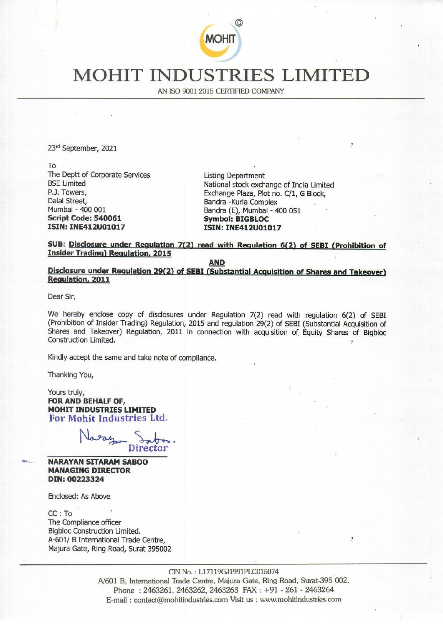

## MOHIT INDUSTRIES LIMITED MOHIT INDUST

AN ISO 9001:2015 CERTIFIED COMPANY

23<sup>rd</sup> September, 2021

To The Deptt of Corporate Services **Listing Department** Mumbai - 400 001 Bandra (E), Mumbai - 400 051 Script Code: 540061 Symbol: BIGBLOC ISIN: INE412U01017 ISIN: INE412U01017 To<br>
The Deptt of Corporate Services<br>
BSE Limited<br>
P.J. Towers,<br>
Dalal Street,<br>
Dalal Street,<br>
Dalal Street,<br>
Mumbai - 400 001<br>
Script Code: 540061<br>
Script Code: 540061<br>
ISIN: INF412001017<br>
SUB: Disclosure under Regulation

BSE Limited<br>
P.J. Towers,<br>
Dalal Street.<br>
Dalal Street.<br>
Bandra -Kurla Complex<br>
Randra -Kurla Complex Bandra -Kurla Complex

SUB: Disclosure under Regulation 7(2) read with Regulation 6(2) of SEBI (Prohibition of Insider Trading) Regulation, 2015

AND<br>
Disclosure under Regulation 29(2) of SEBI (Substantial Acquisition of Shares and Takeover)<br>
Regulation, 2011

Dear Sir,

We hereby enclose copy of disclosures under Regulation 7(2) read with regulation 6(2) of SEBI (Prohibition of Insider Trading) Regulation, 2015 and regulation 29(2) of SEBI (Substantial Acquisition of Shares and Takeover) Regulation, 2011 in connection with acquisition of Equity Shares of Bigbloc Construction Limited.

Kindly accept the same and take note of compliance.

Thanking You,

Yours truly,<br>**FOR AND BEHALF OF,** MOHIT INDUSTRIES LIMITED<br>For Mohit Industries Ltd.

Nesey Saber Director

NARAYAN SITARAM SABOO MANAGING DIRECTOR DIN: 00223324

Enclosed: As Above

CE: To The Compliance officer Bigbloc Construction Limited. A-601/ B International Trade Centre, Majura Gate, Ring Road, Surat 395002

> CIN No. : L17119GJ1991PLC015074 4/601 B, International Trade Centre, Majura Gate, Ring Road, Surat-395 002. Phone : 2463261, 2463262, 2463263 FAX : +91 - 261 - 2463264 E-mail : contact@mohitindustries.com Visit us : www.mohitindustries.com